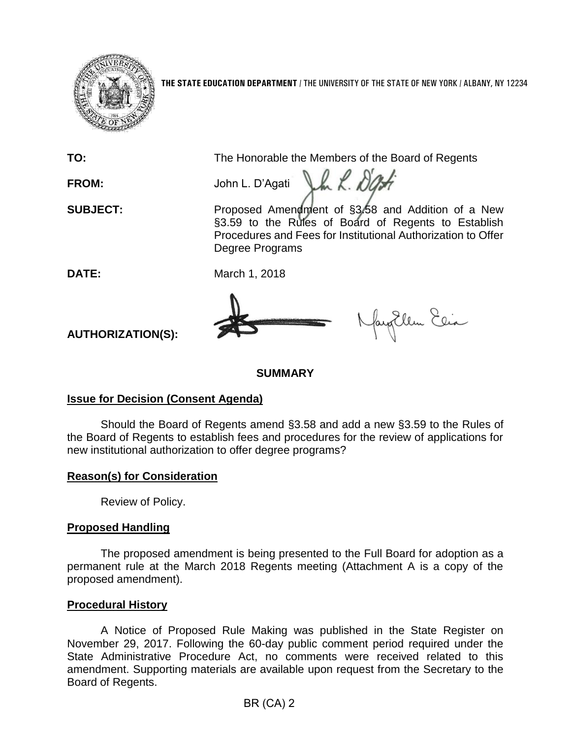

**THE STATE EDUCATION DEPARTMENT** / THE UNIVERSITY OF THE STATE OF NEW YORK / ALBANY, NY 12234

**TO:** The Honorable the Members of the Board of Regents

Vm L. Das

**FROM:** John L. D'Agati

**SUBJECT:** Proposed Amendment of §3.58 and Addition of a New §3.59 to the Rules of Board of Regents to Establish Procedures and Fees for Institutional Authorization to Offer Degree Programs

**DATE:** March 1, 2018



fayEllen Elia

**AUTHORIZATION(S):**

**SUMMARY**

## **Issue for Decision (Consent Agenda)**

Should the Board of Regents amend §3.58 and add a new §3.59 to the Rules of the Board of Regents to establish fees and procedures for the review of applications for new institutional authorization to offer degree programs?

# **Reason(s) for Consideration**

Review of Policy.

# **Proposed Handling**

The proposed amendment is being presented to the Full Board for adoption as a permanent rule at the March 2018 Regents meeting (Attachment A is a copy of the proposed amendment).

# **Procedural History**

A Notice of Proposed Rule Making was published in the State Register on November 29, 2017. Following the 60-day public comment period required under the State Administrative Procedure Act, no comments were received related to this amendment. Supporting materials are available upon request from the Secretary to the Board of Regents.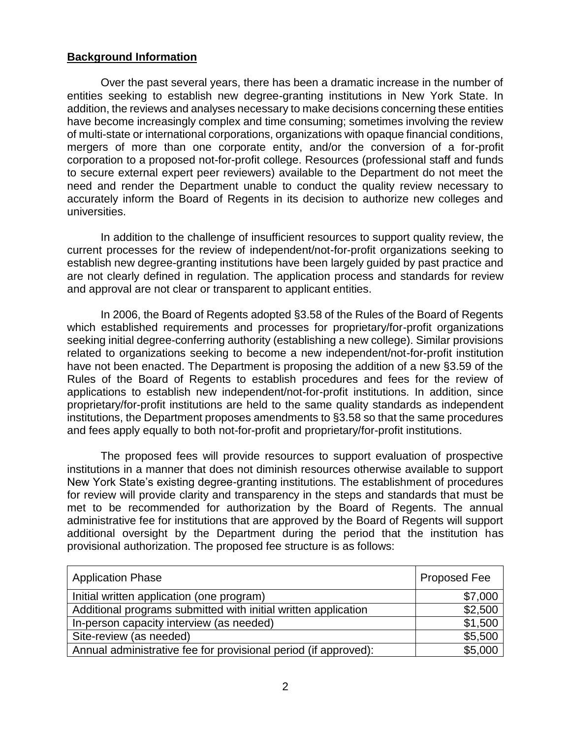### **Background Information**

Over the past several years, there has been a dramatic increase in the number of entities seeking to establish new degree-granting institutions in New York State. In addition, the reviews and analyses necessary to make decisions concerning these entities have become increasingly complex and time consuming; sometimes involving the review of multi-state or international corporations, organizations with opaque financial conditions, mergers of more than one corporate entity, and/or the conversion of a for-profit corporation to a proposed not-for-profit college. Resources (professional staff and funds to secure external expert peer reviewers) available to the Department do not meet the need and render the Department unable to conduct the quality review necessary to accurately inform the Board of Regents in its decision to authorize new colleges and universities.

In addition to the challenge of insufficient resources to support quality review, the current processes for the review of independent/not-for-profit organizations seeking to establish new degree-granting institutions have been largely guided by past practice and are not clearly defined in regulation. The application process and standards for review and approval are not clear or transparent to applicant entities.

In 2006, the Board of Regents adopted §3.58 of the Rules of the Board of Regents which established requirements and processes for proprietary/for-profit organizations seeking initial degree-conferring authority (establishing a new college). Similar provisions related to organizations seeking to become a new independent/not-for-profit institution have not been enacted. The Department is proposing the addition of a new §3.59 of the Rules of the Board of Regents to establish procedures and fees for the review of applications to establish new independent/not-for-profit institutions. In addition, since proprietary/for-profit institutions are held to the same quality standards as independent institutions, the Department proposes amendments to §3.58 so that the same procedures and fees apply equally to both not-for-profit and proprietary/for-profit institutions.

The proposed fees will provide resources to support evaluation of prospective institutions in a manner that does not diminish resources otherwise available to support New York State's existing degree-granting institutions. The establishment of procedures for review will provide clarity and transparency in the steps and standards that must be met to be recommended for authorization by the Board of Regents. The annual administrative fee for institutions that are approved by the Board of Regents will support additional oversight by the Department during the period that the institution has provisional authorization. The proposed fee structure is as follows:

| <b>Application Phase</b>                                        | <b>Proposed Fee</b> |
|-----------------------------------------------------------------|---------------------|
| Initial written application (one program)                       | \$7,000             |
| Additional programs submitted with initial written application  | \$2,500             |
| In-person capacity interview (as needed)                        | \$1,500             |
| Site-review (as needed)                                         | \$5,500             |
| Annual administrative fee for provisional period (if approved): | \$5,000             |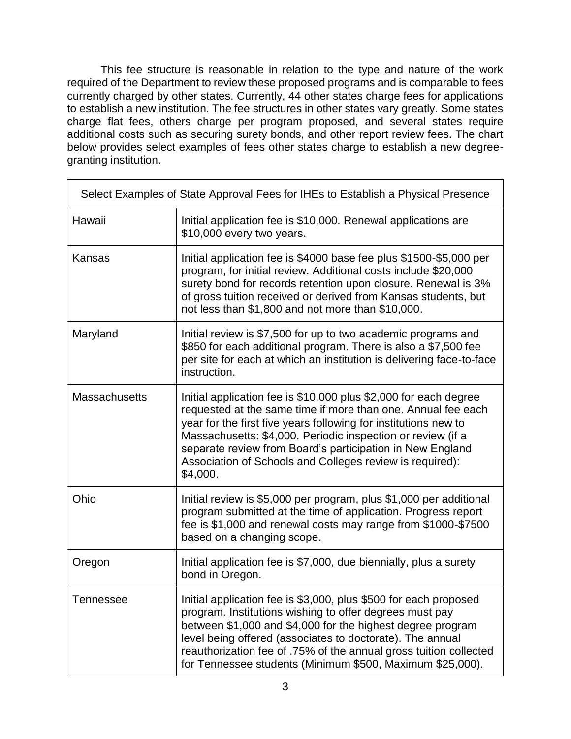This fee structure is reasonable in relation to the type and nature of the work required of the Department to review these proposed programs and is comparable to fees currently charged by other states. Currently, 44 other states charge fees for applications to establish a new institution. The fee structures in other states vary greatly. Some states charge flat fees, others charge per program proposed, and several states require additional costs such as securing surety bonds, and other report review fees. The chart below provides select examples of fees other states charge to establish a new degreegranting institution.

| Select Examples of State Approval Fees for IHEs to Establish a Physical Presence |                                                                                                                                                                                                                                                                                                                                                                                                         |  |  |  |
|----------------------------------------------------------------------------------|---------------------------------------------------------------------------------------------------------------------------------------------------------------------------------------------------------------------------------------------------------------------------------------------------------------------------------------------------------------------------------------------------------|--|--|--|
| Hawaii                                                                           | Initial application fee is \$10,000. Renewal applications are<br>\$10,000 every two years.                                                                                                                                                                                                                                                                                                              |  |  |  |
| Kansas                                                                           | Initial application fee is \$4000 base fee plus \$1500-\$5,000 per<br>program, for initial review. Additional costs include \$20,000<br>surety bond for records retention upon closure. Renewal is 3%<br>of gross tuition received or derived from Kansas students, but<br>not less than \$1,800 and not more than \$10,000.                                                                            |  |  |  |
| Maryland                                                                         | Initial review is \$7,500 for up to two academic programs and<br>\$850 for each additional program. There is also a \$7,500 fee<br>per site for each at which an institution is delivering face-to-face<br>instruction.                                                                                                                                                                                 |  |  |  |
| <b>Massachusetts</b>                                                             | Initial application fee is \$10,000 plus \$2,000 for each degree<br>requested at the same time if more than one. Annual fee each<br>year for the first five years following for institutions new to<br>Massachusetts: \$4,000. Periodic inspection or review (if a<br>separate review from Board's participation in New England<br>Association of Schools and Colleges review is required):<br>\$4,000. |  |  |  |
| Ohio                                                                             | Initial review is \$5,000 per program, plus \$1,000 per additional<br>program submitted at the time of application. Progress report<br>fee is \$1,000 and renewal costs may range from \$1000-\$7500<br>based on a changing scope.                                                                                                                                                                      |  |  |  |
| Oregon                                                                           | Initial application fee is \$7,000, due biennially, plus a surety<br>bond in Oregon.                                                                                                                                                                                                                                                                                                                    |  |  |  |
| Tennessee                                                                        | Initial application fee is \$3,000, plus \$500 for each proposed<br>program. Institutions wishing to offer degrees must pay<br>between \$1,000 and \$4,000 for the highest degree program<br>level being offered (associates to doctorate). The annual<br>reauthorization fee of .75% of the annual gross tuition collected<br>for Tennessee students (Minimum \$500, Maximum \$25,000).                |  |  |  |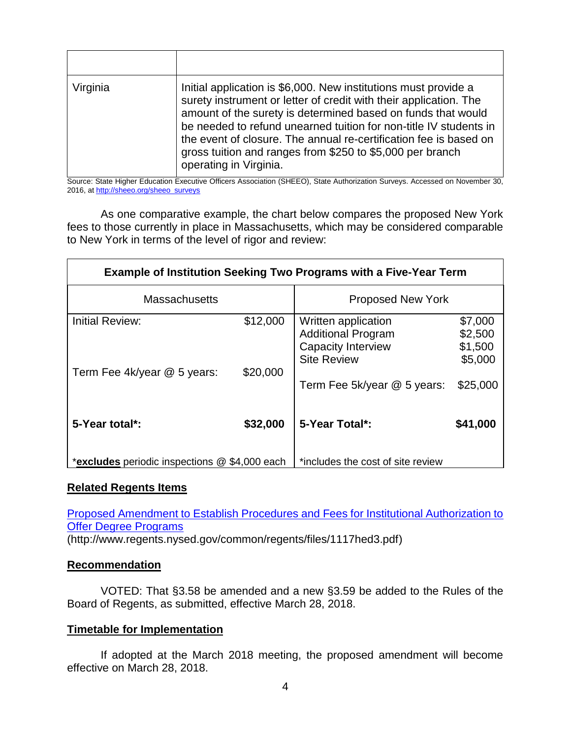| Virginia | Initial application is \$6,000. New institutions must provide a<br>surety instrument or letter of credit with their application. The<br>amount of the surety is determined based on funds that would<br>be needed to refund unearned tuition for non-title IV students in<br>the event of closure. The annual re-certification fee is based on<br>gross tuition and ranges from \$250 to \$5,000 per branch<br>operating in Virginia. |
|----------|---------------------------------------------------------------------------------------------------------------------------------------------------------------------------------------------------------------------------------------------------------------------------------------------------------------------------------------------------------------------------------------------------------------------------------------|

Source: State Higher Education Executive Officers Association (SHEEO), State Authorization Surveys. Accessed on November 30, 2016, a[t http://sheeo.org/sheeo\\_surveys](http://sheeo.org/sheeo_surveys)

As one comparative example, the chart below compares the proposed New York fees to those currently in place in Massachusetts, which may be considered comparable to New York in terms of the level of rigor and review:

| <b>Example of Institution Seeking Two Programs with a Five-Year Term</b> |          |                                                                                                     |                                          |  |  |  |
|--------------------------------------------------------------------------|----------|-----------------------------------------------------------------------------------------------------|------------------------------------------|--|--|--|
| <b>Massachusetts</b>                                                     |          | <b>Proposed New York</b>                                                                            |                                          |  |  |  |
| Initial Review:                                                          | \$12,000 | Written application<br><b>Additional Program</b><br><b>Capacity Interview</b><br><b>Site Review</b> | \$7,000<br>\$2,500<br>\$1,500<br>\$5,000 |  |  |  |
| Term Fee 4k/year @ 5 years:                                              | \$20,000 | Term Fee 5k/year @ 5 years:                                                                         | \$25,000                                 |  |  |  |
| 5-Year total*:                                                           | \$32,000 | 5-Year Total*:                                                                                      | \$41,000                                 |  |  |  |
| *excludes periodic inspections @ \$4,000 each                            |          | *includes the cost of site review                                                                   |                                          |  |  |  |

### **Related Regents Items**

[Proposed Amendment to Establish Procedures and Fees for Institutional Authorization to](http://www.regents.nysed.gov/common/regents/files/1117hed3.pdf)  [Offer Degree Programs](http://www.regents.nysed.gov/common/regents/files/1117hed3.pdf)

(http://www.regents.nysed.gov/common/regents/files/1117hed3.pdf)

#### **Recommendation**

VOTED: That §3.58 be amended and a new §3.59 be added to the Rules of the Board of Regents, as submitted, effective March 28, 2018.

### **Timetable for Implementation**

If adopted at the March 2018 meeting, the proposed amendment will become effective on March 28, 2018.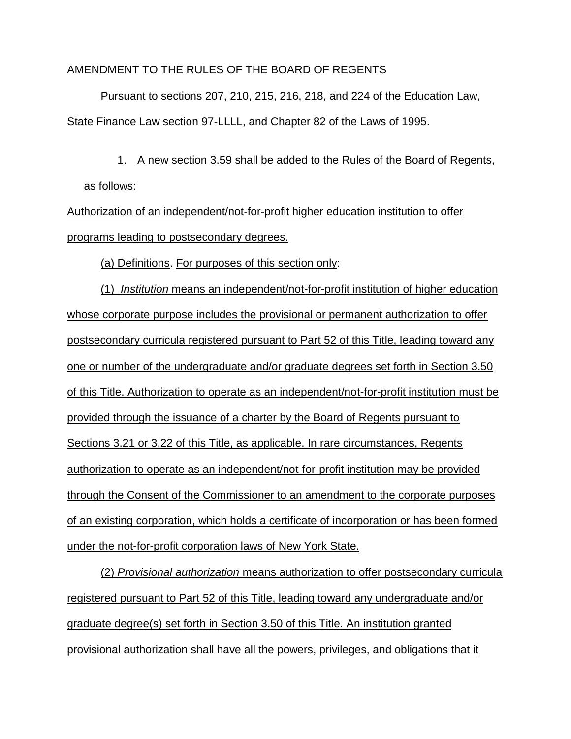#### AMENDMENT TO THE RULES OF THE BOARD OF REGENTS

Pursuant to sections 207, 210, 215, 216, 218, and 224 of the Education Law, State Finance Law section 97-LLLL, and Chapter 82 of the Laws of 1995.

1. A new section 3.59 shall be added to the Rules of the Board of Regents,

#### as follows:

Authorization of an independent/not-for-profit higher education institution to offer programs leading to postsecondary degrees.

(a) Definitions. For purposes of this section only:

(1) *Institution* means an independent/not-for-profit institution of higher education whose corporate purpose includes the provisional or permanent authorization to offer postsecondary curricula registered pursuant to Part 52 of this Title, leading toward any one or number of the undergraduate and/or graduate degrees set forth in Section 3.50 of this Title. Authorization to operate as an independent/not-for-profit institution must be provided through the issuance of a charter by the Board of Regents pursuant to Sections 3.21 or 3.22 of this Title, as applicable. In rare circumstances, Regents authorization to operate as an independent/not-for-profit institution may be provided through the Consent of the Commissioner to an amendment to the corporate purposes of an existing corporation, which holds a certificate of incorporation or has been formed under the not-for-profit corporation laws of New York State.

(2) *Provisional authorization* means authorization to offer postsecondary curricula registered pursuant to Part 52 of this Title, leading toward any undergraduate and/or graduate degree(s) set forth in Section 3.50 of this Title. An institution granted provisional authorization shall have all the powers, privileges, and obligations that it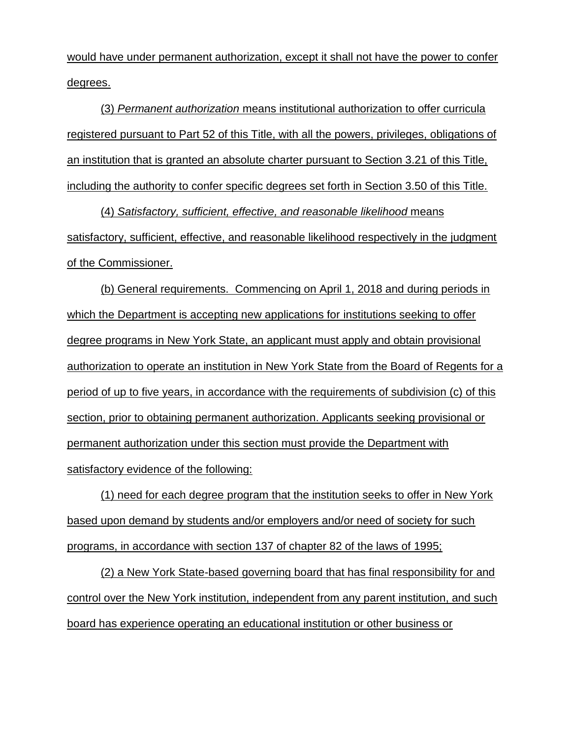would have under permanent authorization, except it shall not have the power to confer degrees.

(3) *Permanent authorization* means institutional authorization to offer curricula registered pursuant to Part 52 of this Title, with all the powers, privileges, obligations of an institution that is granted an absolute charter pursuant to Section 3.21 of this Title, including the authority to confer specific degrees set forth in Section 3.50 of this Title.

(4) *Satisfactory, sufficient, effective, and reasonable likelihood* means satisfactory, sufficient, effective, and reasonable likelihood respectively in the judgment of the Commissioner.

(b) General requirements. Commencing on April 1, 2018 and during periods in which the Department is accepting new applications for institutions seeking to offer degree programs in New York State, an applicant must apply and obtain provisional authorization to operate an institution in New York State from the Board of Regents for a period of up to five years, in accordance with the requirements of subdivision (c) of this section, prior to obtaining permanent authorization. Applicants seeking provisional or permanent authorization under this section must provide the Department with satisfactory evidence of the following:

(1) need for each degree program that the institution seeks to offer in New York based upon demand by students and/or employers and/or need of society for such programs, in accordance with section 137 of chapter 82 of the laws of 1995;

(2) a New York State-based governing board that has final responsibility for and control over the New York institution, independent from any parent institution, and such board has experience operating an educational institution or other business or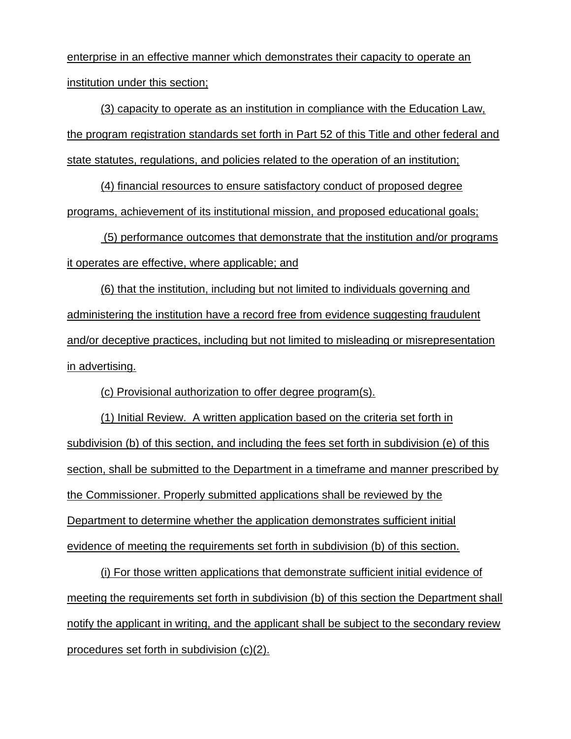enterprise in an effective manner which demonstrates their capacity to operate an institution under this section;

(3) capacity to operate as an institution in compliance with the Education Law, the program registration standards set forth in Part 52 of this Title and other federal and state statutes, regulations, and policies related to the operation of an institution;

(4) financial resources to ensure satisfactory conduct of proposed degree programs, achievement of its institutional mission, and proposed educational goals;

(5) performance outcomes that demonstrate that the institution and/or programs it operates are effective, where applicable; and

(6) that the institution, including but not limited to individuals governing and administering the institution have a record free from evidence suggesting fraudulent and/or deceptive practices, including but not limited to misleading or misrepresentation in advertising.

(c) Provisional authorization to offer degree program(s).

(1) Initial Review. A written application based on the criteria set forth in subdivision (b) of this section, and including the fees set forth in subdivision (e) of this section, shall be submitted to the Department in a timeframe and manner prescribed by the Commissioner. Properly submitted applications shall be reviewed by the Department to determine whether the application demonstrates sufficient initial evidence of meeting the requirements set forth in subdivision (b) of this section.

(i) For those written applications that demonstrate sufficient initial evidence of meeting the requirements set forth in subdivision (b) of this section the Department shall notify the applicant in writing, and the applicant shall be subject to the secondary review procedures set forth in subdivision (c)(2).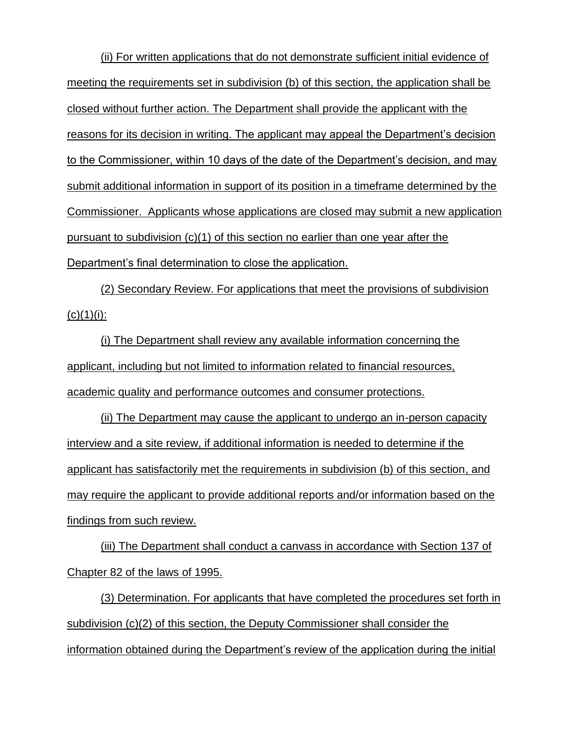(ii) For written applications that do not demonstrate sufficient initial evidence of meeting the requirements set in subdivision (b) of this section, the application shall be closed without further action. The Department shall provide the applicant with the reasons for its decision in writing. The applicant may appeal the Department's decision to the Commissioner, within 10 days of the date of the Department's decision, and may submit additional information in support of its position in a timeframe determined by the Commissioner. Applicants whose applications are closed may submit a new application pursuant to subdivision (c)(1) of this section no earlier than one year after the Department's final determination to close the application.

(2) Secondary Review. For applications that meet the provisions of subdivision  $(c)(1)(i)$ :

(i) The Department shall review any available information concerning the applicant, including but not limited to information related to financial resources, academic quality and performance outcomes and consumer protections.

(ii) The Department may cause the applicant to undergo an in-person capacity interview and a site review, if additional information is needed to determine if the applicant has satisfactorily met the requirements in subdivision (b) of this section, and may require the applicant to provide additional reports and/or information based on the findings from such review.

(iii) The Department shall conduct a canvass in accordance with Section 137 of Chapter 82 of the laws of 1995.

(3) Determination. For applicants that have completed the procedures set forth in subdivision (c)(2) of this section, the Deputy Commissioner shall consider the information obtained during the Department's review of the application during the initial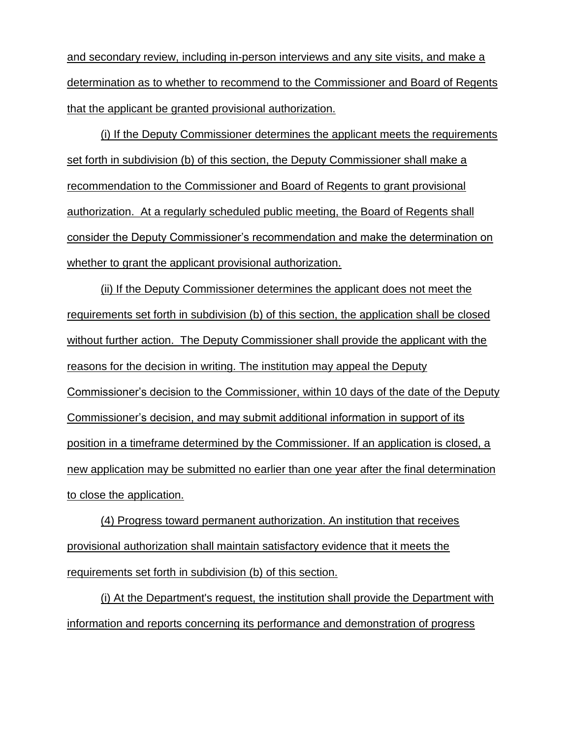and secondary review, including in-person interviews and any site visits, and make a determination as to whether to recommend to the Commissioner and Board of Regents that the applicant be granted provisional authorization.

(i) If the Deputy Commissioner determines the applicant meets the requirements set forth in subdivision (b) of this section, the Deputy Commissioner shall make a recommendation to the Commissioner and Board of Regents to grant provisional authorization. At a regularly scheduled public meeting, the Board of Regents shall consider the Deputy Commissioner's recommendation and make the determination on whether to grant the applicant provisional authorization.

(ii) If the Deputy Commissioner determines the applicant does not meet the requirements set forth in subdivision (b) of this section, the application shall be closed without further action. The Deputy Commissioner shall provide the applicant with the reasons for the decision in writing. The institution may appeal the Deputy Commissioner's decision to the Commissioner, within 10 days of the date of the Deputy Commissioner's decision, and may submit additional information in support of its position in a timeframe determined by the Commissioner. If an application is closed, a new application may be submitted no earlier than one year after the final determination to close the application.

(4) Progress toward permanent authorization. An institution that receives provisional authorization shall maintain satisfactory evidence that it meets the requirements set forth in subdivision (b) of this section.

(i) At the Department's request, the institution shall provide the Department with information and reports concerning its performance and demonstration of progress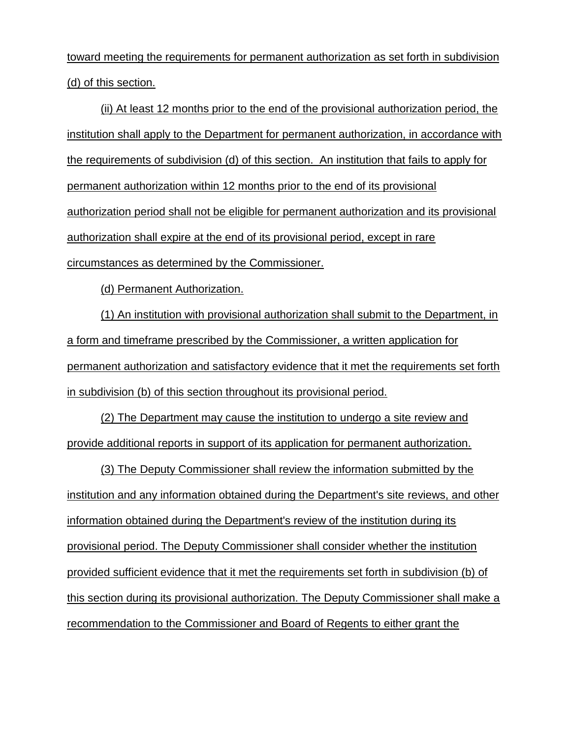toward meeting the requirements for permanent authorization as set forth in subdivision (d) of this section.

(ii) At least 12 months prior to the end of the provisional authorization period, the institution shall apply to the Department for permanent authorization, in accordance with the requirements of subdivision (d) of this section. An institution that fails to apply for permanent authorization within 12 months prior to the end of its provisional authorization period shall not be eligible for permanent authorization and its provisional authorization shall expire at the end of its provisional period, except in rare circumstances as determined by the Commissioner.

(d) Permanent Authorization.

(1) An institution with provisional authorization shall submit to the Department, in a form and timeframe prescribed by the Commissioner, a written application for permanent authorization and satisfactory evidence that it met the requirements set forth in subdivision (b) of this section throughout its provisional period.

(2) The Department may cause the institution to undergo a site review and provide additional reports in support of its application for permanent authorization.

(3) The Deputy Commissioner shall review the information submitted by the institution and any information obtained during the Department's site reviews, and other information obtained during the Department's review of the institution during its provisional period. The Deputy Commissioner shall consider whether the institution provided sufficient evidence that it met the requirements set forth in subdivision (b) of this section during its provisional authorization. The Deputy Commissioner shall make a recommendation to the Commissioner and Board of Regents to either grant the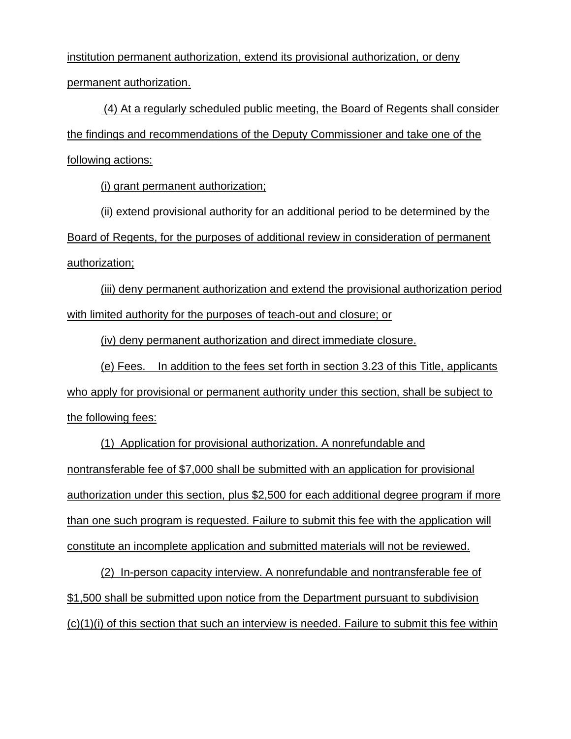institution permanent authorization, extend its provisional authorization, or deny permanent authorization.

(4) At a regularly scheduled public meeting, the Board of Regents shall consider the findings and recommendations of the Deputy Commissioner and take one of the following actions:

(i) grant permanent authorization;

(ii) extend provisional authority for an additional period to be determined by the Board of Regents, for the purposes of additional review in consideration of permanent authorization;

(iii) deny permanent authorization and extend the provisional authorization period with limited authority for the purposes of teach-out and closure; or

(iv) deny permanent authorization and direct immediate closure.

(e) Fees. In addition to the fees set forth in section 3.23 of this Title, applicants who apply for provisional or permanent authority under this section, shall be subject to the following fees:

(1) Application for provisional authorization. A nonrefundable and nontransferable fee of \$7,000 shall be submitted with an application for provisional authorization under this section, plus \$2,500 for each additional degree program if more than one such program is requested. Failure to submit this fee with the application will constitute an incomplete application and submitted materials will not be reviewed.

(2) In-person capacity interview. A nonrefundable and nontransferable fee of \$1,500 shall be submitted upon notice from the Department pursuant to subdivision (c)(1)(i) of this section that such an interview is needed. Failure to submit this fee within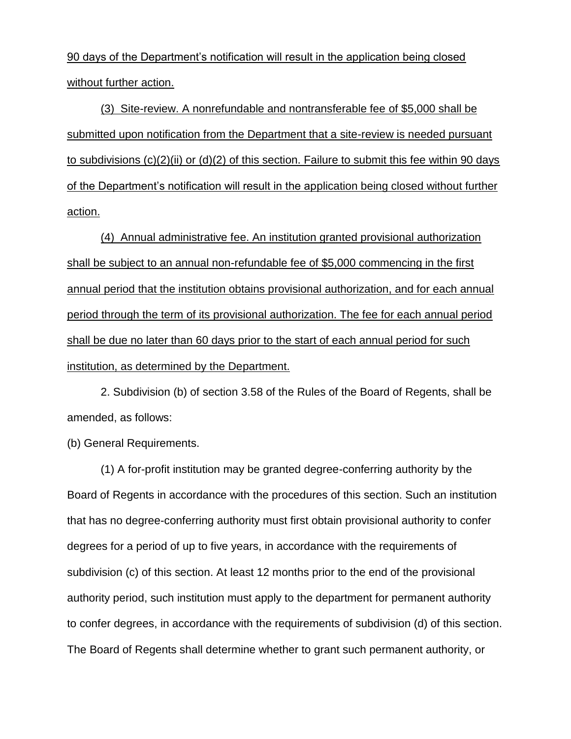90 days of the Department's notification will result in the application being closed without further action.

(3) Site-review. A nonrefundable and nontransferable fee of \$5,000 shall be submitted upon notification from the Department that a site-review is needed pursuant to subdivisions (c)(2)(ii) or (d)(2) of this section. Failure to submit this fee within 90 days of the Department's notification will result in the application being closed without further action.

(4) Annual administrative fee. An institution granted provisional authorization shall be subject to an annual non-refundable fee of \$5,000 commencing in the first annual period that the institution obtains provisional authorization, and for each annual period through the term of its provisional authorization. The fee for each annual period shall be due no later than 60 days prior to the start of each annual period for such institution, as determined by the Department.

2. Subdivision (b) of section 3.58 of the Rules of the Board of Regents, shall be amended, as follows:

(b) General Requirements.

(1) A for-profit institution may be granted degree-conferring authority by the Board of Regents in accordance with the procedures of this section. Such an institution that has no degree-conferring authority must first obtain provisional authority to confer degrees for a period of up to five years, in accordance with the requirements of subdivision (c) of this section. At least 12 months prior to the end of the provisional authority period, such institution must apply to the department for permanent authority to confer degrees, in accordance with the requirements of subdivision (d) of this section. The Board of Regents shall determine whether to grant such permanent authority, or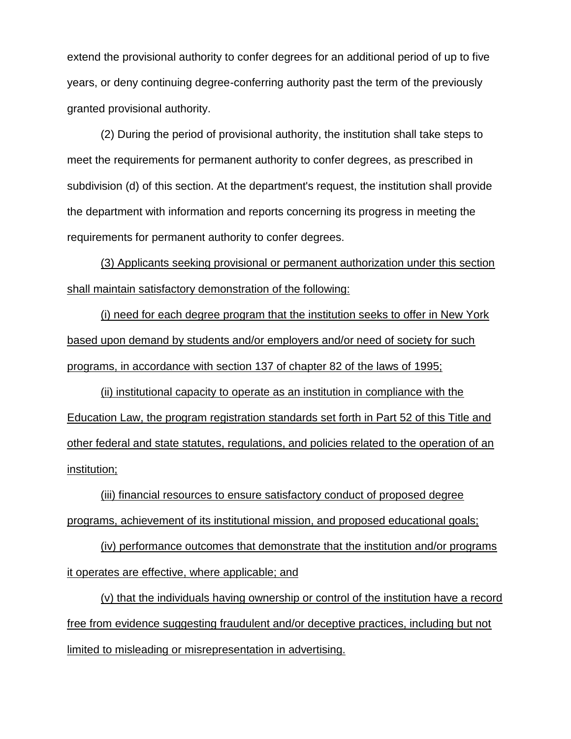extend the provisional authority to confer degrees for an additional period of up to five years, or deny continuing degree-conferring authority past the term of the previously granted provisional authority.

(2) During the period of provisional authority, the institution shall take steps to meet the requirements for permanent authority to confer degrees, as prescribed in subdivision (d) of this section. At the department's request, the institution shall provide the department with information and reports concerning its progress in meeting the requirements for permanent authority to confer degrees.

(3) Applicants seeking provisional or permanent authorization under this section shall maintain satisfactory demonstration of the following:

(i) need for each degree program that the institution seeks to offer in New York based upon demand by students and/or employers and/or need of society for such programs, in accordance with section 137 of chapter 82 of the laws of 1995;

(ii) institutional capacity to operate as an institution in compliance with the Education Law, the program registration standards set forth in Part 52 of this Title and other federal and state statutes, regulations, and policies related to the operation of an institution;

(iii) financial resources to ensure satisfactory conduct of proposed degree programs, achievement of its institutional mission, and proposed educational goals;

(iv) performance outcomes that demonstrate that the institution and/or programs it operates are effective, where applicable; and

(v) that the individuals having ownership or control of the institution have a record free from evidence suggesting fraudulent and/or deceptive practices, including but not limited to misleading or misrepresentation in advertising.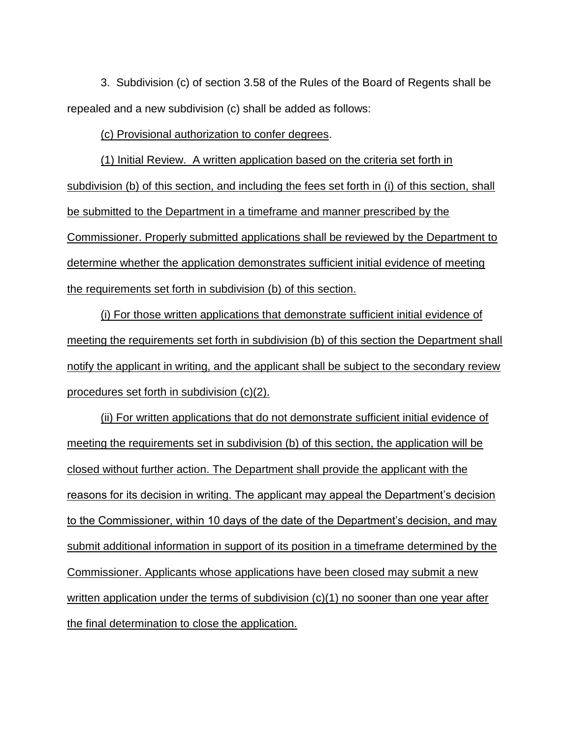3. Subdivision (c) of section 3.58 of the Rules of the Board of Regents shall be repealed and a new subdivision (c) shall be added as follows:

(c) Provisional authorization to confer degrees.

(1) Initial Review. A written application based on the criteria set forth in subdivision (b) of this section, and including the fees set forth in (i) of this section, shall be submitted to the Department in a timeframe and manner prescribed by the Commissioner. Properly submitted applications shall be reviewed by the Department to determine whether the application demonstrates sufficient initial evidence of meeting the requirements set forth in subdivision (b) of this section.

(i) For those written applications that demonstrate sufficient initial evidence of meeting the requirements set forth in subdivision (b) of this section the Department shall notify the applicant in writing, and the applicant shall be subject to the secondary review procedures set forth in subdivision (c)(2).

(ii) For written applications that do not demonstrate sufficient initial evidence of meeting the requirements set in subdivision (b) of this section, the application will be closed without further action. The Department shall provide the applicant with the reasons for its decision in writing. The applicant may appeal the Department's decision to the Commissioner, within 10 days of the date of the Department's decision, and may submit additional information in support of its position in a timeframe determined by the Commissioner. Applicants whose applications have been closed may submit a new written application under the terms of subdivision (c)(1) no sooner than one year after the final determination to close the application.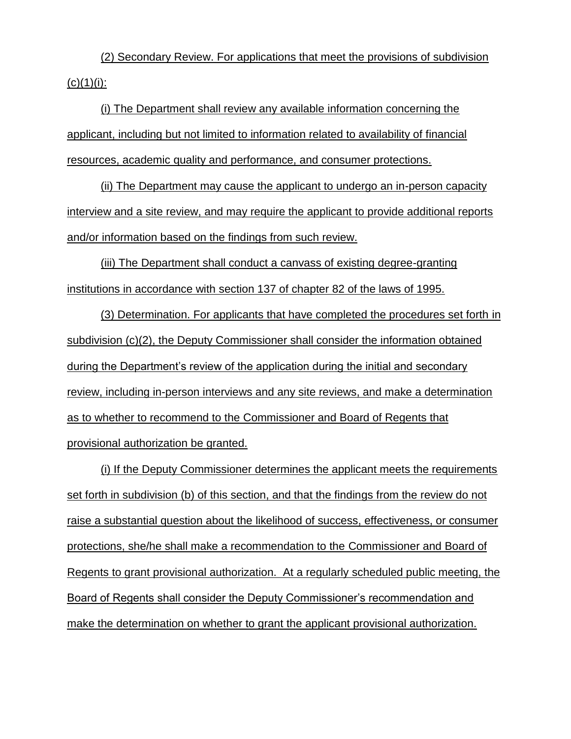(2) Secondary Review. For applications that meet the provisions of subdivision  $(c)(1)(i)$ :

(i) The Department shall review any available information concerning the applicant, including but not limited to information related to availability of financial resources, academic quality and performance, and consumer protections.

(ii) The Department may cause the applicant to undergo an in-person capacity interview and a site review, and may require the applicant to provide additional reports and/or information based on the findings from such review.

(iii) The Department shall conduct a canvass of existing degree-granting institutions in accordance with section 137 of chapter 82 of the laws of 1995.

(3) Determination. For applicants that have completed the procedures set forth in subdivision (c)(2), the Deputy Commissioner shall consider the information obtained during the Department's review of the application during the initial and secondary review, including in-person interviews and any site reviews, and make a determination as to whether to recommend to the Commissioner and Board of Regents that provisional authorization be granted.

(i) If the Deputy Commissioner determines the applicant meets the requirements set forth in subdivision (b) of this section, and that the findings from the review do not raise a substantial question about the likelihood of success, effectiveness, or consumer protections, she/he shall make a recommendation to the Commissioner and Board of Regents to grant provisional authorization. At a regularly scheduled public meeting, the Board of Regents shall consider the Deputy Commissioner's recommendation and make the determination on whether to grant the applicant provisional authorization.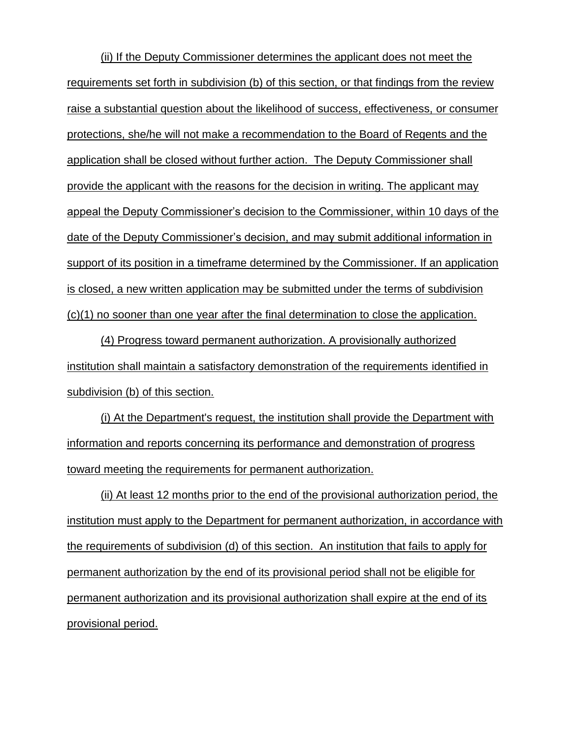(ii) If the Deputy Commissioner determines the applicant does not meet the requirements set forth in subdivision (b) of this section, or that findings from the review raise a substantial question about the likelihood of success, effectiveness, or consumer protections, she/he will not make a recommendation to the Board of Regents and the application shall be closed without further action. The Deputy Commissioner shall provide the applicant with the reasons for the decision in writing. The applicant may appeal the Deputy Commissioner's decision to the Commissioner, within 10 days of the date of the Deputy Commissioner's decision, and may submit additional information in support of its position in a timeframe determined by the Commissioner. If an application is closed, a new written application may be submitted under the terms of subdivision (c)(1) no sooner than one year after the final determination to close the application.

(4) Progress toward permanent authorization. A provisionally authorized institution shall maintain a satisfactory demonstration of the requirements identified in subdivision (b) of this section.

(i) At the Department's request, the institution shall provide the Department with information and reports concerning its performance and demonstration of progress toward meeting the requirements for permanent authorization.

(ii) At least 12 months prior to the end of the provisional authorization period, the institution must apply to the Department for permanent authorization, in accordance with the requirements of subdivision (d) of this section. An institution that fails to apply for permanent authorization by the end of its provisional period shall not be eligible for permanent authorization and its provisional authorization shall expire at the end of its provisional period.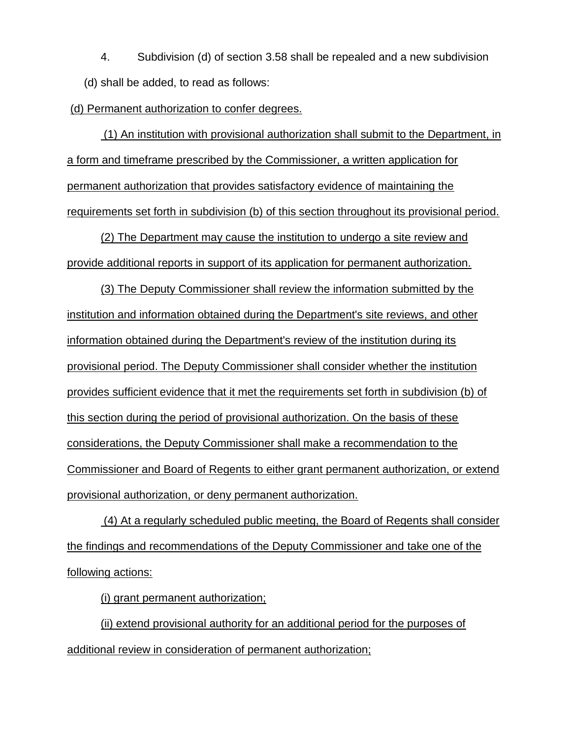4. Subdivision (d) of section 3.58 shall be repealed and a new subdivision (d) shall be added, to read as follows:

(d) Permanent authorization to confer degrees.

(1) An institution with provisional authorization shall submit to the Department, in a form and timeframe prescribed by the Commissioner, a written application for permanent authorization that provides satisfactory evidence of maintaining the requirements set forth in subdivision (b) of this section throughout its provisional period.

(2) The Department may cause the institution to undergo a site review and provide additional reports in support of its application for permanent authorization.

(3) The Deputy Commissioner shall review the information submitted by the institution and information obtained during the Department's site reviews, and other information obtained during the Department's review of the institution during its provisional period. The Deputy Commissioner shall consider whether the institution provides sufficient evidence that it met the requirements set forth in subdivision (b) of this section during the period of provisional authorization. On the basis of these considerations, the Deputy Commissioner shall make a recommendation to the Commissioner and Board of Regents to either grant permanent authorization, or extend provisional authorization, or deny permanent authorization.

(4) At a regularly scheduled public meeting, the Board of Regents shall consider the findings and recommendations of the Deputy Commissioner and take one of the following actions:

(i) grant permanent authorization;

(ii) extend provisional authority for an additional period for the purposes of additional review in consideration of permanent authorization;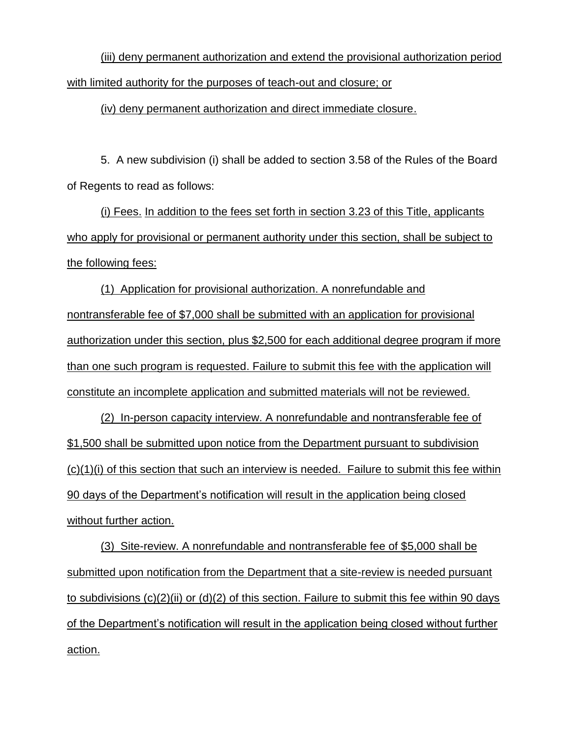(iii) deny permanent authorization and extend the provisional authorization period with limited authority for the purposes of teach-out and closure; or

(iv) deny permanent authorization and direct immediate closure.

5. A new subdivision (i) shall be added to section 3.58 of the Rules of the Board of Regents to read as follows:

(i) Fees. In addition to the fees set forth in section 3.23 of this Title, applicants who apply for provisional or permanent authority under this section, shall be subject to the following fees:

(1) Application for provisional authorization. A nonrefundable and nontransferable fee of \$7,000 shall be submitted with an application for provisional authorization under this section, plus \$2,500 for each additional degree program if more than one such program is requested. Failure to submit this fee with the application will constitute an incomplete application and submitted materials will not be reviewed.

(2) In-person capacity interview. A nonrefundable and nontransferable fee of \$1,500 shall be submitted upon notice from the Department pursuant to subdivision (c)(1)(i) of this section that such an interview is needed. Failure to submit this fee within 90 days of the Department's notification will result in the application being closed without further action.

(3) Site-review. A nonrefundable and nontransferable fee of \$5,000 shall be submitted upon notification from the Department that a site-review is needed pursuant to subdivisions (c)(2)(ii) or (d)(2) of this section. Failure to submit this fee within 90 days of the Department's notification will result in the application being closed without further action.